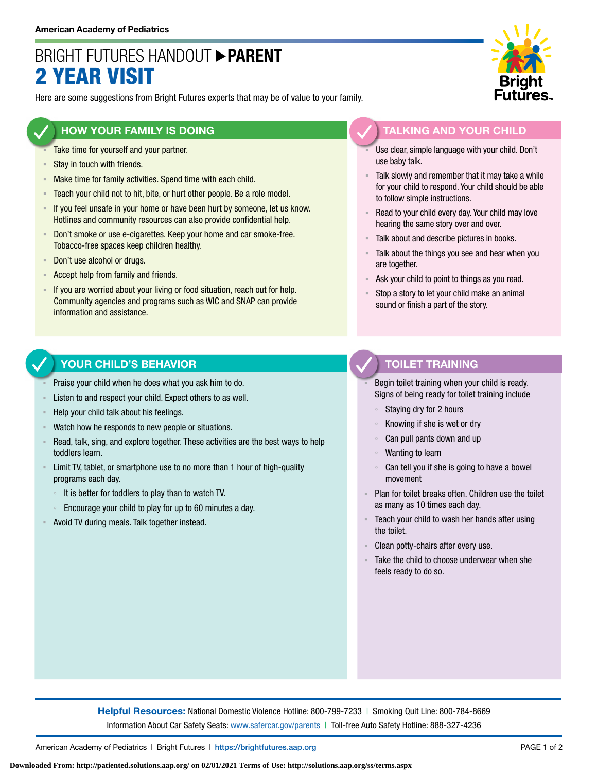# BRIGHT FUTURES HANDOUT **PARENT** 2 YEAR VISIT

Here are some suggestions from Bright Futures experts that may be of value to your family.

### **HOW YOUR FAMILY IS DOING**

- Take time for yourself and your partner.
- Stay in touch with friends.
- **EXECT** Make time for family activities. Spend time with each child.
- **EXECO** F Teach your child not to hit, bite, or hurt other people. Be a role model.
- If you feel unsafe in your home or have been hurt by someone, let us know. Hotlines and community resources can also provide confidential help.
- **EXECT** Don't smoke or use e-cigarettes. Keep your home and car smoke-free. Tobacco-free spaces keep children healthy.
- Don't use alcohol or drugs.
- Accept help from family and friends.
- **EXT** If you are worried about your living or food situation, reach out for help. Community agencies and programs such as WIC and SNAP can provide information and assistance.

### **YOUR CHILD'S BEHAVIOR**

- Praise your child when he does what you ask him to do.
- Listen to and respect your child. Expect others to as well.
- Help your child talk about his feelings.
- Watch how he responds to new people or situations.
- Read, talk, sing, and explore together. These activities are the best ways to help toddlers learn.
- **EXECT** Limit TV, tablet, or smartphone use to no more than 1 hour of high-quality programs each day.
	- It is better for toddlers to play than to watch TV.
	- Encourage your child to play for up to 60 minutes a day.
- Avoid TV during meals. Talk together instead.



# **TALKING AND YOUR CHILD**

- Use clear, simple language with your child. Don't use baby talk.
- Talk slowly and remember that it may take a while for your child to respond. Your child should be able to follow simple instructions.
- Read to your child every day. Your child may love hearing the same story over and over.
- Talk about and describe pictures in books.
- Talk about the things you see and hear when you are together.
- Ask your child to point to things as you read.
- Stop a story to let your child make an animal sound or finish a part of the story.

### **TOILET TRAINING**

Begin toilet training when your child is ready. Signs of being ready for toilet training include

- Staying dry for 2 hours
- Knowing if she is wet or dry
- Can pull pants down and up
- Wanting to learn
- Can tell you if she is going to have a bowel movement
- Plan for toilet breaks often. Children use the toilet as many as 10 times each day.
- Teach your child to wash her hands after using the toilet.
- Clean potty-chairs after every use.
- Take the child to choose underwear when she feels ready to do so.

**Helpful Resources:** National Domestic Violence Hotline: 800-799-7233 | Smoking Quit Line: 800-784-8669 Information About Car Safety Seats: [www.safercar.gov/parents](https://www.nhtsa.gov/parents-and-caregivers) | Toll-free Auto Safety Hotline: 888-327-4236

American Academy of Pediatrics | Bright Futures | https://[brightfutures.aap.org](https://brightfutures.aap.org/Pages/default.aspx) PAGE 1 of 2